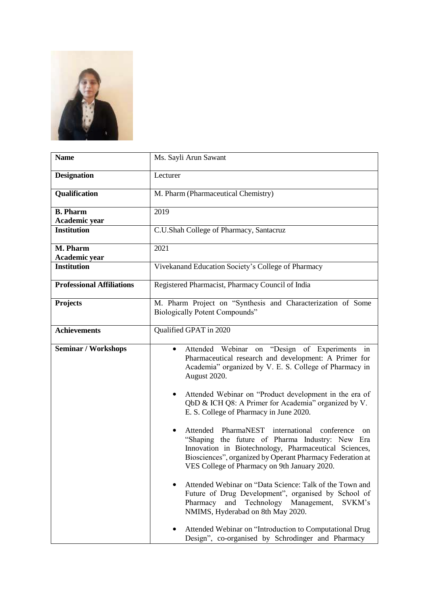

| <b>Name</b>                      | Ms. Sayli Arun Sawant                                                                                                                                                                                                                                                                                                                                                                                                                                                                                                                                                                                                                                                                                                                                                                                                                                                                                                                                                               |
|----------------------------------|-------------------------------------------------------------------------------------------------------------------------------------------------------------------------------------------------------------------------------------------------------------------------------------------------------------------------------------------------------------------------------------------------------------------------------------------------------------------------------------------------------------------------------------------------------------------------------------------------------------------------------------------------------------------------------------------------------------------------------------------------------------------------------------------------------------------------------------------------------------------------------------------------------------------------------------------------------------------------------------|
| <b>Designation</b>               | Lecturer                                                                                                                                                                                                                                                                                                                                                                                                                                                                                                                                                                                                                                                                                                                                                                                                                                                                                                                                                                            |
| Qualification                    | M. Pharm (Pharmaceutical Chemistry)                                                                                                                                                                                                                                                                                                                                                                                                                                                                                                                                                                                                                                                                                                                                                                                                                                                                                                                                                 |
| <b>B.</b> Pharm                  | 2019                                                                                                                                                                                                                                                                                                                                                                                                                                                                                                                                                                                                                                                                                                                                                                                                                                                                                                                                                                                |
| Academic year                    |                                                                                                                                                                                                                                                                                                                                                                                                                                                                                                                                                                                                                                                                                                                                                                                                                                                                                                                                                                                     |
| <b>Institution</b>               | C.U.Shah College of Pharmacy, Santacruz                                                                                                                                                                                                                                                                                                                                                                                                                                                                                                                                                                                                                                                                                                                                                                                                                                                                                                                                             |
| M. Pharm                         | 2021                                                                                                                                                                                                                                                                                                                                                                                                                                                                                                                                                                                                                                                                                                                                                                                                                                                                                                                                                                                |
| Academic year                    |                                                                                                                                                                                                                                                                                                                                                                                                                                                                                                                                                                                                                                                                                                                                                                                                                                                                                                                                                                                     |
| <b>Institution</b>               | Vivekanand Education Society's College of Pharmacy                                                                                                                                                                                                                                                                                                                                                                                                                                                                                                                                                                                                                                                                                                                                                                                                                                                                                                                                  |
| <b>Professional Affiliations</b> | Registered Pharmacist, Pharmacy Council of India                                                                                                                                                                                                                                                                                                                                                                                                                                                                                                                                                                                                                                                                                                                                                                                                                                                                                                                                    |
| <b>Projects</b>                  | M. Pharm Project on "Synthesis and Characterization of Some<br><b>Biologically Potent Compounds"</b>                                                                                                                                                                                                                                                                                                                                                                                                                                                                                                                                                                                                                                                                                                                                                                                                                                                                                |
| <b>Achievements</b>              | Qualified GPAT in 2020                                                                                                                                                                                                                                                                                                                                                                                                                                                                                                                                                                                                                                                                                                                                                                                                                                                                                                                                                              |
| <b>Seminar / Workshops</b>       | Attended Webinar<br>"Design of Experiments in<br>on<br>$\bullet$<br>Pharmaceutical research and development: A Primer for<br>Academia" organized by V. E. S. College of Pharmacy in<br>August 2020.<br>Attended Webinar on "Product development in the era of<br>QbD & ICH Q8: A Primer for Academia" organized by V.<br>E. S. College of Pharmacy in June 2020.<br>Attended PharmaNEST<br>international<br>conference<br>on<br>"Shaping the future of Pharma Industry: New Era<br>Innovation in Biotechnology, Pharmaceutical Sciences,<br>Biosciences", organized by Operant Pharmacy Federation at<br>VES College of Pharmacy on 9th January 2020.<br>Attended Webinar on "Data Science: Talk of the Town and<br>Future of Drug Development", organised by School of<br>Technology Management,<br>Pharmacy<br>and<br>SVKM's<br>NMIMS, Hyderabad on 8th May 2020.<br>Attended Webinar on "Introduction to Computational Drug<br>Design", co-organised by Schrodinger and Pharmacy |